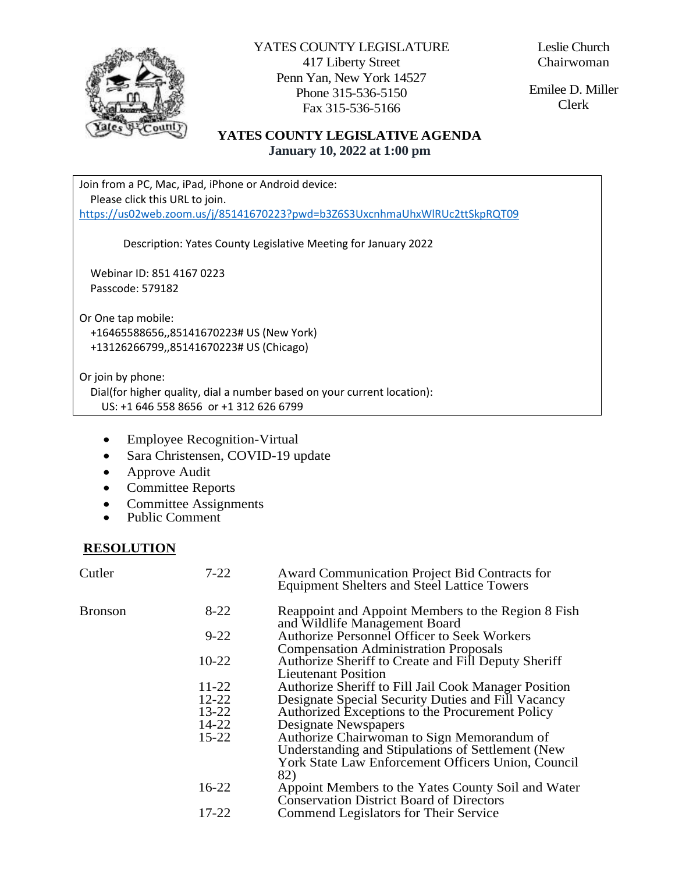

YATES COUNTY LEGISLATURE 417 Liberty Street Penn Yan, New York 14527 Phone 315-536-5150 Fax 315-536-5166

Leslie Church Chairwoman

Emilee D. Miller Clerk

#### **YATES COUNTY LEGISLATIVE AGENDA January 10, 2022 at 1:00 pm**

Join from a PC, Mac, iPad, iPhone or Android device: Please click this URL to join. <https://us02web.zoom.us/j/85141670223?pwd=b3Z6S3UxcnhmaUhxWlRUc2ttSkpRQT09>

Description: Yates County Legislative Meeting for January 2022

 Webinar ID: 851 4167 0223 Passcode: 579182

Or One tap mobile: +16465588656,,85141670223# US (New York) +13126266799,,85141670223# US (Chicago)

Or join by phone:

 Dial(for higher quality, dial a number based on your current location): US: +1 646 558 8656 or +1 312 626 6799

- Employee Recognition-Virtual
- Sara Christensen, COVID-19 update
- Approve Audit
- Committee Reports
- Committee Assignments
- Public Comment

#### **RESOLUTION**

| Cutler  | $7 - 22$  | Award Communication Project Bid Contracts for<br><b>Equipment Shelters and Steel Lattice Towers</b>                                                          |
|---------|-----------|--------------------------------------------------------------------------------------------------------------------------------------------------------------|
| Bronson | $8 - 22$  | Reappoint and Appoint Members to the Region 8 Fish<br>and Wildlife Management Board                                                                          |
|         | $9 - 22$  | Authorize Personnel Officer to Seek Workers<br><b>Compensation Administration Proposals</b>                                                                  |
|         | $10 - 22$ | Authorize Sheriff to Create and Fill Deputy Sheriff<br>Lieutenant Position                                                                                   |
|         | 11-22     | Authorize Sheriff to Fill Jail Cook Manager Position                                                                                                         |
|         | $12 - 22$ | Designate Special Security Duties and Fill Vacancy                                                                                                           |
|         | 13-22     | Authorized Exceptions to the Procurement Policy                                                                                                              |
|         | 14-22     | Designate Newspapers                                                                                                                                         |
|         | $15 - 22$ | Authorize Chairwoman to Sign Memorandum of<br>Understanding and Stipulations of Settlement (New<br>York State Law Enforcement Officers Union, Council<br>82) |
|         | $16 - 22$ | Appoint Members to the Yates County Soil and Water<br><b>Conservation District Board of Directors</b>                                                        |
|         | 17-22     | Commend Legislators for Their Service                                                                                                                        |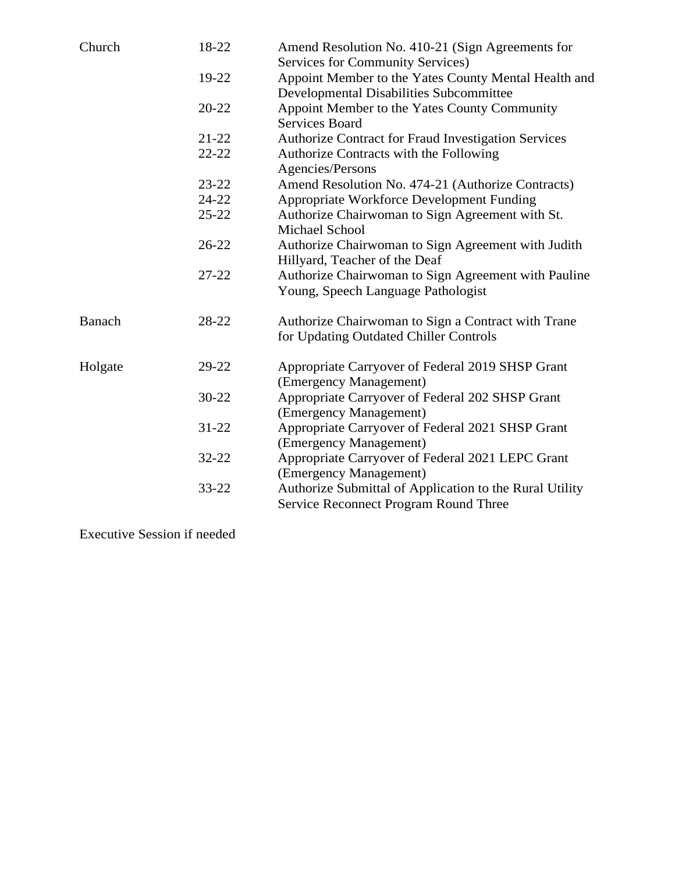| Church  | 18-22     | Amend Resolution No. 410-21 (Sign Agreements for<br><b>Services for Community Services)</b>            |
|---------|-----------|--------------------------------------------------------------------------------------------------------|
|         | 19-22     | Appoint Member to the Yates County Mental Health and<br><b>Developmental Disabilities Subcommittee</b> |
|         | $20 - 22$ | Appoint Member to the Yates County Community<br><b>Services Board</b>                                  |
|         | $21 - 22$ | Authorize Contract for Fraud Investigation Services                                                    |
|         | $22 - 22$ | Authorize Contracts with the Following<br>Agencies/Persons                                             |
|         | $23 - 22$ | Amend Resolution No. 474-21 (Authorize Contracts)                                                      |
|         | $24 - 22$ | Appropriate Workforce Development Funding                                                              |
|         | $25 - 22$ | Authorize Chairwoman to Sign Agreement with St.<br><b>Michael School</b>                               |
|         | $26 - 22$ | Authorize Chairwoman to Sign Agreement with Judith<br>Hillyard, Teacher of the Deaf                    |
|         | $27 - 22$ | Authorize Chairwoman to Sign Agreement with Pauline<br>Young, Speech Language Pathologist              |
| Banach  | 28-22     | Authorize Chairwoman to Sign a Contract with Trane<br>for Updating Outdated Chiller Controls           |
| Holgate | 29-22     | Appropriate Carryover of Federal 2019 SHSP Grant<br>(Emergency Management)                             |
|         | $30 - 22$ | Appropriate Carryover of Federal 202 SHSP Grant<br>(Emergency Management)                              |
|         | $31 - 22$ | Appropriate Carryover of Federal 2021 SHSP Grant<br>(Emergency Management)                             |
|         | $32 - 22$ | Appropriate Carryover of Federal 2021 LEPC Grant<br>(Emergency Management)                             |
|         | 33-22     | Authorize Submittal of Application to the Rural Utility<br>Service Reconnect Program Round Three       |

Executive Session if needed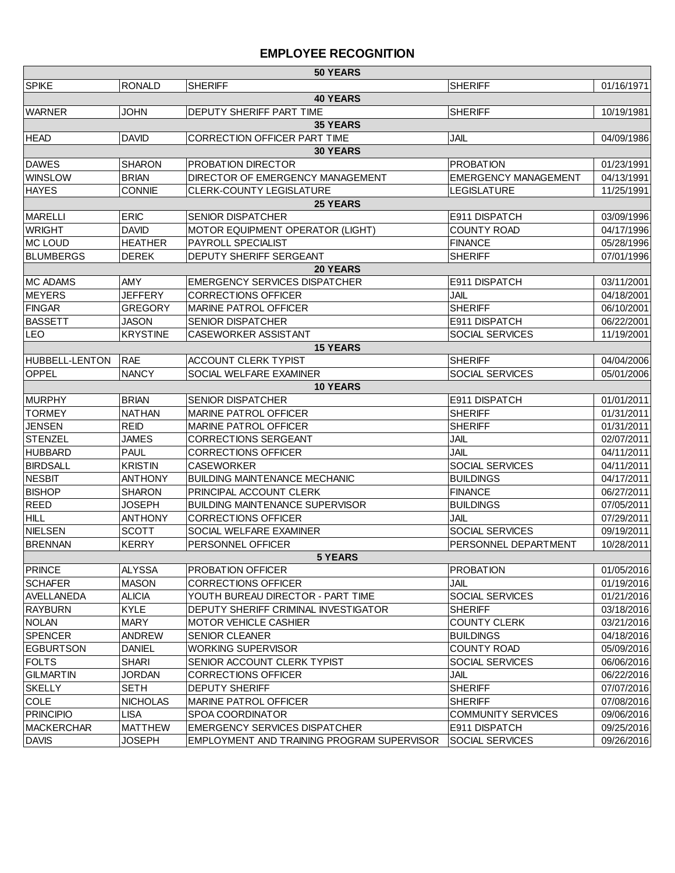#### **EMPLOYEE RECOGNITION**

| 50 YEARS          |                 |                                            |                             |            |
|-------------------|-----------------|--------------------------------------------|-----------------------------|------------|
| <b>SPIKE</b>      | RONALD          | <b>SHERIFF</b>                             | <b>SHERIFF</b>              | 01/16/1971 |
|                   |                 | <b>40 YEARS</b>                            |                             |            |
| <b>WARNER</b>     | <b>JOHN</b>     | DEPUTY SHERIFF PART TIME                   | <b>SHERIFF</b>              | 10/19/1981 |
|                   |                 | <b>35 YEARS</b>                            |                             |            |
| <b>HEAD</b>       | <b>DAVID</b>    | CORRECTION OFFICER PART TIME               | <b>JAIL</b>                 | 04/09/1986 |
|                   |                 | <b>30 YEARS</b>                            |                             |            |
| <b>DAWES</b>      | <b>SHARON</b>   | <b>PROBATION DIRECTOR</b>                  | <b>PROBATION</b>            | 01/23/1991 |
| <b>WINSLOW</b>    | <b>BRIAN</b>    | DIRECTOR OF EMERGENCY MANAGEMENT           | <b>EMERGENCY MANAGEMENT</b> | 04/13/1991 |
| <b>HAYES</b>      | <b>CONNIE</b>   | CLERK-COUNTY LEGISLATURE                   | <b>LEGISLATURE</b>          | 11/25/1991 |
|                   |                 | <b>25 YEARS</b>                            |                             |            |
| <b>MARELLI</b>    | <b>ERIC</b>     | <b>SENIOR DISPATCHER</b>                   | E911 DISPATCH               | 03/09/1996 |
| <b>WRIGHT</b>     | <b>DAVID</b>    | MOTOR EQUIPMENT OPERATOR (LIGHT)           | <b>COUNTY ROAD</b>          | 04/17/1996 |
| MC LOUD           | <b>HEATHER</b>  | PAYROLL SPECIALIST                         | <b>FINANCE</b>              | 05/28/1996 |
| <b>BLUMBERGS</b>  | <b>DEREK</b>    | DEPUTY SHERIFF SERGEANT                    | <b>SHERIFF</b>              | 07/01/1996 |
|                   |                 | <b>20 YEARS</b>                            |                             |            |
| <b>MC ADAMS</b>   | AMY             | <b>EMERGENCY SERVICES DISPATCHER</b>       | E911 DISPATCH               | 03/11/2001 |
| <b>MEYERS</b>     | <b>JEFFERY</b>  | <b>CORRECTIONS OFFICER</b>                 | <b>JAIL</b>                 | 04/18/2001 |
| <b>FINGAR</b>     | <b>GREGORY</b>  | <b>MARINE PATROL OFFICER</b>               | <b>SHERIFF</b>              | 06/10/2001 |
| <b>BASSETT</b>    | JASON           | <b>SENIOR DISPATCHER</b>                   | E911 DISPATCH               | 06/22/2001 |
| <b>LEO</b>        | <b>KRYSTINE</b> | CASEWORKER ASSISTANT                       | SOCIAL SERVICES             | 11/19/2001 |
|                   |                 | <b>15 YEARS</b>                            |                             |            |
| HUBBELL-LENTON    | <b>RAE</b>      | <b>ACCOUNT CLERK TYPIST</b>                | <b>SHERIFF</b>              | 04/04/2006 |
| <b>OPPEL</b>      | <b>NANCY</b>    | SOCIAL WELFARE EXAMINER                    | SOCIAL SERVICES             | 05/01/2006 |
|                   |                 | <b>10 YEARS</b>                            |                             |            |
| <b>MURPHY</b>     | <b>BRIAN</b>    | <b>SENIOR DISPATCHER</b>                   | E911 DISPATCH               | 01/01/2011 |
| <b>TORMEY</b>     | <b>NATHAN</b>   | <b>MARINE PATROL OFFICER</b>               | <b>SHERIFF</b>              | 01/31/2011 |
| <b>JENSEN</b>     | <b>REID</b>     | <b>MARINE PATROL OFFICER</b>               | <b>SHERIFF</b>              | 01/31/2011 |
| <b>STENZEL</b>    | JAMES           | <b>CORRECTIONS SERGEANT</b>                | <b>JAIL</b>                 | 02/07/2011 |
| <b>HUBBARD</b>    | <b>PAUL</b>     | <b>CORRECTIONS OFFICER</b>                 | JAIL                        | 04/11/2011 |
| <b>BIRDSALL</b>   | <b>KRISTIN</b>  | <b>CASEWORKER</b>                          | SOCIAL SERVICES             | 04/11/2011 |
| <b>NESBIT</b>     | <b>ANTHONY</b>  | <b>BUILDING MAINTENANCE MECHANIC</b>       | <b>BUILDINGS</b>            | 04/17/2011 |
| <b>BISHOP</b>     | <b>SHARON</b>   | PRINCIPAL ACCOUNT CLERK                    | <b>FINANCE</b>              | 06/27/2011 |
| <b>REED</b>       | JOSEPH          | <b>BUILDING MAINTENANCE SUPERVISOR</b>     | <b>BUILDINGS</b>            | 07/05/2011 |
| <b>HILL</b>       | <b>ANTHONY</b>  | <b>CORRECTIONS OFFICER</b>                 | <b>JAIL</b>                 | 07/29/2011 |
| NIELSEN           | <b>SCOTT</b>    | SOCIAL WELFARE EXAMINER                    | SOCIAL SERVICES             | 09/19/2011 |
| <b>BRENNAN</b>    | <b>KERRY</b>    | PERSONNEL OFFICER                          | PERSONNEL DEPARTMENT        | 10/28/2011 |
| <b>5 YEARS</b>    |                 |                                            |                             |            |
| <b>PRINCE</b>     | <b>ALYSSA</b>   | PROBATION OFFICER                          | <b>PROBATION</b>            | 01/05/2016 |
| SCHAFER           | <b>MASON</b>    | <b>CORRECTIONS OFFICER</b>                 | JAIL                        | 01/19/2016 |
| AVELLANEDA        | <b>ALICIA</b>   | YOUTH BUREAU DIRECTOR - PART TIME          | SOCIAL SERVICES             | 01/21/2016 |
| <b>RAYBURN</b>    | <b>KYLE</b>     | DEPUTY SHERIFF CRIMINAL INVESTIGATOR       | <b>SHERIFF</b>              | 03/18/2016 |
| <b>NOLAN</b>      | <b>MARY</b>     | <b>MOTOR VEHICLE CASHIER</b>               | <b>COUNTY CLERK</b>         | 03/21/2016 |
| SPENCER           | ANDREW          | SENIOR CLEANER                             | <b>BUILDINGS</b>            | 04/18/2016 |
| <b>EGBURTSON</b>  | <b>DANIEL</b>   | WORKING SUPERVISOR                         | <b>COUNTY ROAD</b>          | 05/09/2016 |
| <b>FOLTS</b>      | <b>SHARI</b>    | SENIOR ACCOUNT CLERK TYPIST                | SOCIAL SERVICES             | 06/06/2016 |
| <b>GILMARTIN</b>  | <b>JORDAN</b>   | <b>CORRECTIONS OFFICER</b>                 | <b>JAIL</b>                 | 06/22/2016 |
| <b>SKELLY</b>     | <b>SETH</b>     | <b>DEPUTY SHERIFF</b>                      | <b>SHERIFF</b>              | 07/07/2016 |
| <b>COLE</b>       | <b>NICHOLAS</b> | MARINE PATROL OFFICER                      | <b>SHERIFF</b>              | 07/08/2016 |
| <b>PRINCIPIO</b>  | <b>LISA</b>     | SPOA COORDINATOR                           | <b>COMMUNITY SERVICES</b>   | 09/06/2016 |
| <b>MACKERCHAR</b> | <b>MATTHEW</b>  | <b>EMERGENCY SERVICES DISPATCHER</b>       | E911 DISPATCH               | 09/25/2016 |
| <b>DAVIS</b>      | <b>JOSEPH</b>   | EMPLOYMENT AND TRAINING PROGRAM SUPERVISOR | <b>SOCIAL SERVICES</b>      | 09/26/2016 |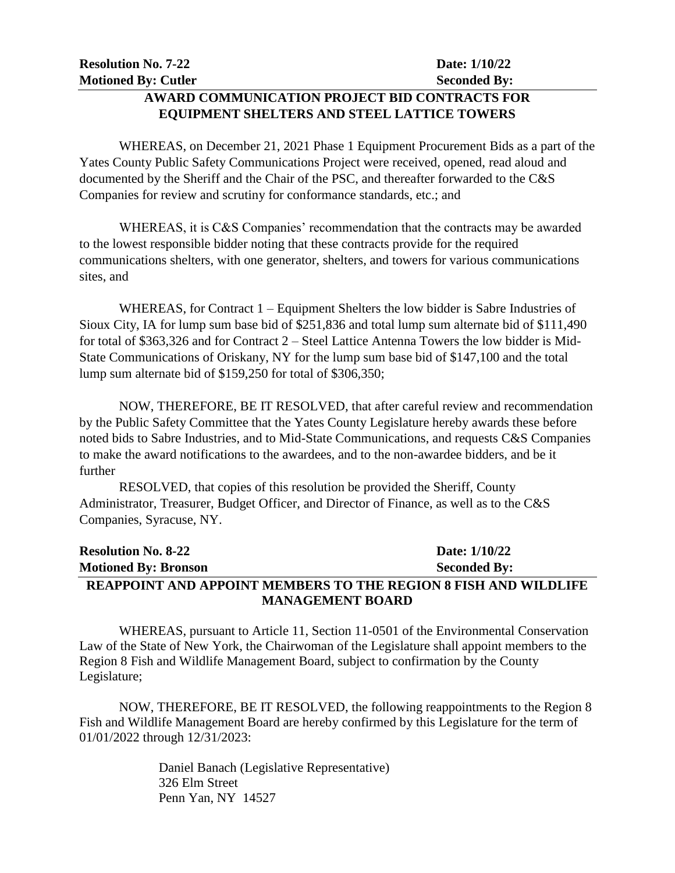### **AWARD COMMUNICATION PROJECT BID CONTRACTS FOR EQUIPMENT SHELTERS AND STEEL LATTICE TOWERS**

WHEREAS, on December 21, 2021 Phase 1 Equipment Procurement Bids as a part of the Yates County Public Safety Communications Project were received, opened, read aloud and documented by the Sheriff and the Chair of the PSC, and thereafter forwarded to the C&S Companies for review and scrutiny for conformance standards, etc.; and

WHEREAS, it is C&S Companies' recommendation that the contracts may be awarded to the lowest responsible bidder noting that these contracts provide for the required communications shelters, with one generator, shelters, and towers for various communications sites, and

WHEREAS, for Contract 1 – Equipment Shelters the low bidder is Sabre Industries of Sioux City, IA for lump sum base bid of \$251,836 and total lump sum alternate bid of \$111,490 for total of \$363,326 and for Contract 2 – Steel Lattice Antenna Towers the low bidder is Mid-State Communications of Oriskany, NY for the lump sum base bid of \$147,100 and the total lump sum alternate bid of \$159,250 for total of \$306,350;

NOW, THEREFORE, BE IT RESOLVED, that after careful review and recommendation by the Public Safety Committee that the Yates County Legislature hereby awards these before noted bids to Sabre Industries, and to Mid-State Communications, and requests C&S Companies to make the award notifications to the awardees, and to the non-awardee bidders, and be it further

RESOLVED, that copies of this resolution be provided the Sheriff, County Administrator, Treasurer, Budget Officer, and Director of Finance, as well as to the C&S Companies, Syracuse, NY.

### **Resolution No. 8-22 Date: 1/10/22 Motioned By: Bronson Seconded By: REAPPOINT AND APPOINT MEMBERS TO THE REGION 8 FISH AND WILDLIFE MANAGEMENT BOARD**

WHEREAS, pursuant to Article 11, Section 11-0501 of the Environmental Conservation Law of the State of New York, the Chairwoman of the Legislature shall appoint members to the Region 8 Fish and Wildlife Management Board, subject to confirmation by the County Legislature;

NOW, THEREFORE, BE IT RESOLVED, the following reappointments to the Region 8 Fish and Wildlife Management Board are hereby confirmed by this Legislature for the term of 01/01/2022 through 12/31/2023:

> Daniel Banach (Legislative Representative) 326 Elm Street Penn Yan, NY 14527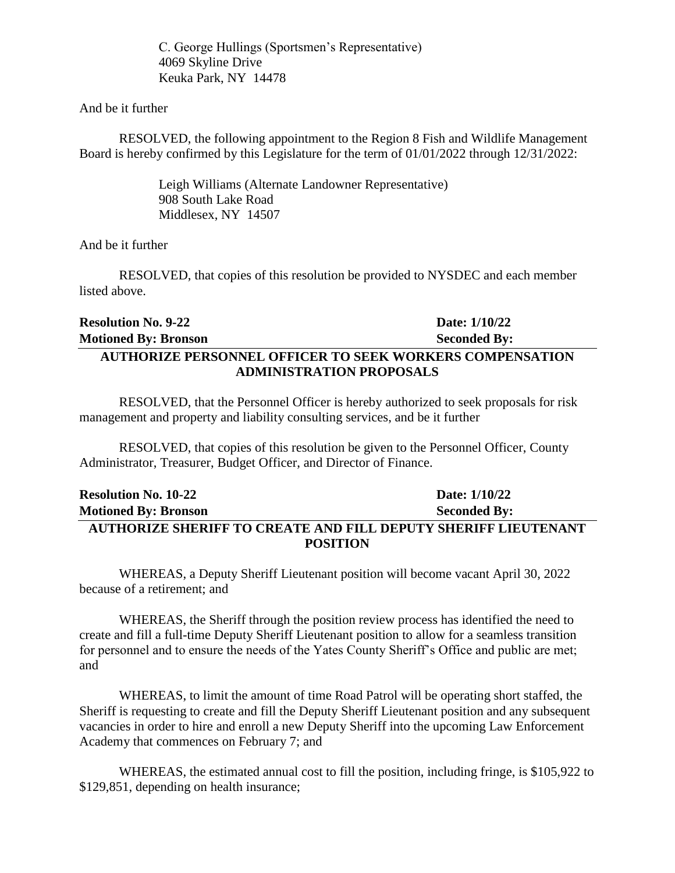C. George Hullings (Sportsmen's Representative) 4069 Skyline Drive Keuka Park, NY 14478

And be it further

RESOLVED, the following appointment to the Region 8 Fish and Wildlife Management Board is hereby confirmed by this Legislature for the term of 01/01/2022 through 12/31/2022:

> Leigh Williams (Alternate Landowner Representative) 908 South Lake Road Middlesex, NY 14507

And be it further

RESOLVED, that copies of this resolution be provided to NYSDEC and each member listed above.

## **Resolution No. 9-22 Date: 1/10/22 Motioned By: Bronson Seconded By: AUTHORIZE PERSONNEL OFFICER TO SEEK WORKERS COMPENSATION ADMINISTRATION PROPOSALS**

RESOLVED, that the Personnel Officer is hereby authorized to seek proposals for risk management and property and liability consulting services, and be it further

RESOLVED, that copies of this resolution be given to the Personnel Officer, County Administrator, Treasurer, Budget Officer, and Director of Finance.

### **Resolution No. 10-22 Date: 1/10/22 Motioned By: Bronson Seconded By: AUTHORIZE SHERIFF TO CREATE AND FILL DEPUTY SHERIFF LIEUTENANT POSITION**

WHEREAS, a Deputy Sheriff Lieutenant position will become vacant April 30, 2022 because of a retirement; and

WHEREAS, the Sheriff through the position review process has identified the need to create and fill a full-time Deputy Sheriff Lieutenant position to allow for a seamless transition for personnel and to ensure the needs of the Yates County Sheriff's Office and public are met; and

WHEREAS, to limit the amount of time Road Patrol will be operating short staffed, the Sheriff is requesting to create and fill the Deputy Sheriff Lieutenant position and any subsequent vacancies in order to hire and enroll a new Deputy Sheriff into the upcoming Law Enforcement Academy that commences on February 7; and

WHEREAS, the estimated annual cost to fill the position, including fringe, is \$105,922 to \$129,851, depending on health insurance;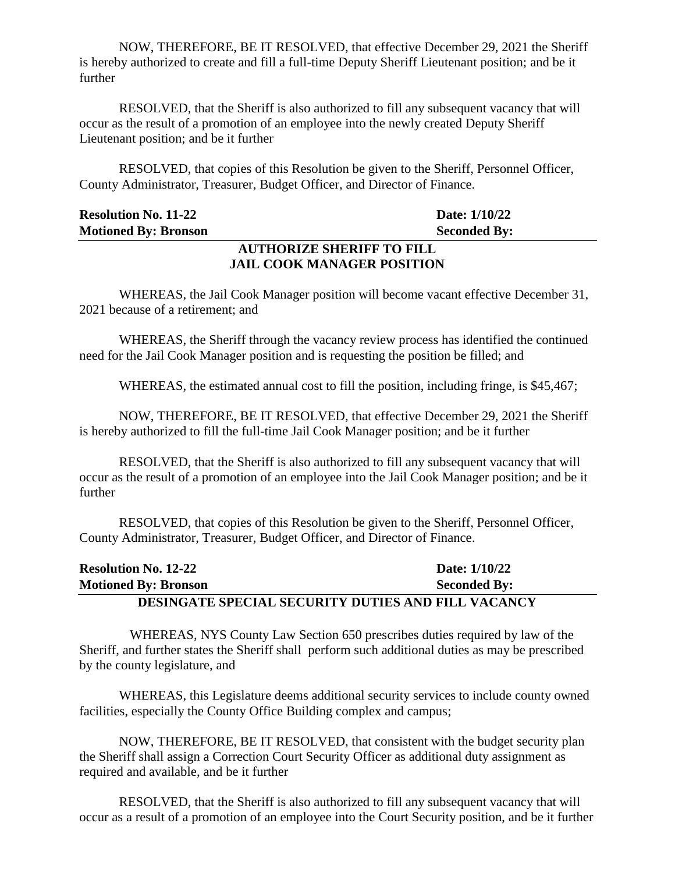NOW, THEREFORE, BE IT RESOLVED, that effective December 29, 2021 the Sheriff is hereby authorized to create and fill a full-time Deputy Sheriff Lieutenant position; and be it further

RESOLVED, that the Sheriff is also authorized to fill any subsequent vacancy that will occur as the result of a promotion of an employee into the newly created Deputy Sheriff Lieutenant position; and be it further

RESOLVED, that copies of this Resolution be given to the Sheriff, Personnel Officer, County Administrator, Treasurer, Budget Officer, and Director of Finance.

| <b>Resolution No. 11-22</b>      | Date: 1/10/22       |  |
|----------------------------------|---------------------|--|
| <b>Motioned By: Bronson</b>      | <b>Seconded By:</b> |  |
| <b>AUTHORIZE SHERIFF TO FILL</b> |                     |  |

# **JAIL COOK MANAGER POSITION**

WHEREAS, the Jail Cook Manager position will become vacant effective December 31, 2021 because of a retirement; and

WHEREAS, the Sheriff through the vacancy review process has identified the continued need for the Jail Cook Manager position and is requesting the position be filled; and

WHEREAS, the estimated annual cost to fill the position, including fringe, is \$45,467;

NOW, THEREFORE, BE IT RESOLVED, that effective December 29, 2021 the Sheriff is hereby authorized to fill the full-time Jail Cook Manager position; and be it further

RESOLVED, that the Sheriff is also authorized to fill any subsequent vacancy that will occur as the result of a promotion of an employee into the Jail Cook Manager position; and be it further

RESOLVED, that copies of this Resolution be given to the Sheriff, Personnel Officer, County Administrator, Treasurer, Budget Officer, and Director of Finance.

| <b>Resolution No. 12-22</b>                               | Date: 1/10/22       |
|-----------------------------------------------------------|---------------------|
| <b>Motioned By: Bronson</b>                               | <b>Seconded By:</b> |
| <b>DESINGATE SPECIAL SECURITY DUTIES AND FILL VACANCY</b> |                     |

WHEREAS, NYS County Law Section 650 prescribes duties required by law of the Sheriff, and further states the Sheriff shall perform such additional duties as may be prescribed by the county legislature, and

WHEREAS, this Legislature deems additional security services to include county owned facilities, especially the County Office Building complex and campus;

NOW, THEREFORE, BE IT RESOLVED, that consistent with the budget security plan the Sheriff shall assign a Correction Court Security Officer as additional duty assignment as required and available, and be it further

RESOLVED, that the Sheriff is also authorized to fill any subsequent vacancy that will occur as a result of a promotion of an employee into the Court Security position, and be it further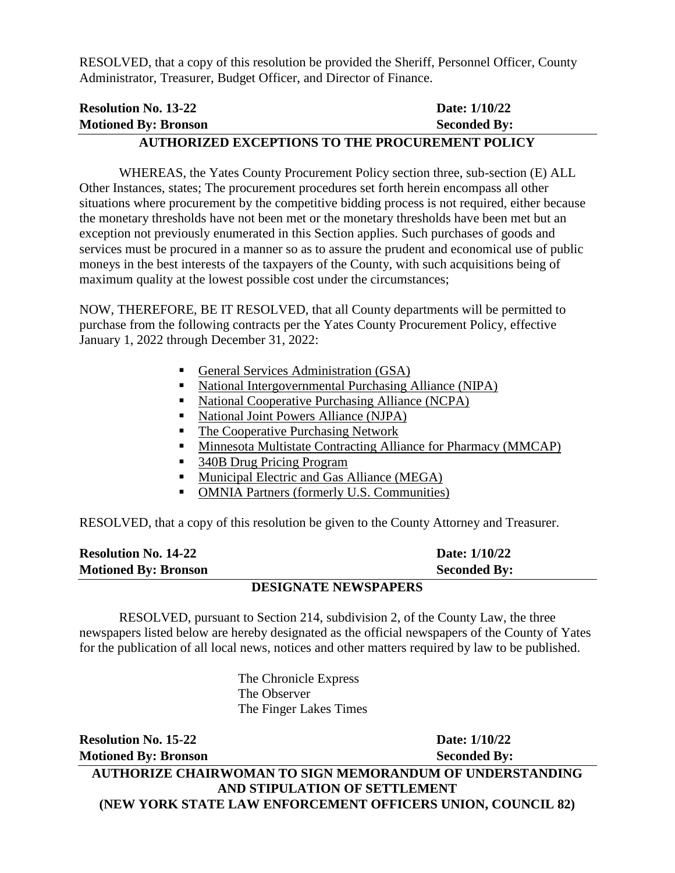RESOLVED, that a copy of this resolution be provided the Sheriff, Personnel Officer, County Administrator, Treasurer, Budget Officer, and Director of Finance.

| <b>Resolution No. 13-22</b> | Date: 1/10/22                                          |
|-----------------------------|--------------------------------------------------------|
| <b>Motioned By: Bronson</b> | <b>Seconded By:</b>                                    |
|                             | <b>AUTHORIZED EXCEPTIONS TO THE PROCUREMENT POLICY</b> |

WHEREAS, the Yates County Procurement Policy section three, sub-section (E) ALL Other Instances, states; The procurement procedures set forth herein encompass all other situations where procurement by the competitive bidding process is not required, either because the monetary thresholds have not been met or the monetary thresholds have been met but an exception not previously enumerated in this Section applies. Such purchases of goods and services must be procured in a manner so as to assure the prudent and economical use of public moneys in the best interests of the taxpayers of the County, with such acquisitions being of maximum quality at the lowest possible cost under the circumstances;

NOW, THEREFORE, BE IT RESOLVED, that all County departments will be permitted to purchase from the following contracts per the Yates County Procurement Policy, effective January 1, 2022 through December 31, 2022:

- General Services Administration (GSA)
- National Intergovernmental Purchasing Alliance (NIPA)
- National Cooperative Purchasing Alliance (NCPA)
- National Joint Powers Alliance (NJPA)
- The Cooperative Purchasing Network
- **Minnesota Multistate Contracting Alliance for Pharmacy (MMCAP)**
- 340B Drug Pricing Program
- **Municipal Electric and Gas Alliance (MEGA)**
- OMNIA Partners (formerly U.S. Communities)

RESOLVED, that a copy of this resolution be given to the County Attorney and Treasurer.

| <b>Resolution No. 14-22</b>      | Date: 1/10/22       |
|----------------------------------|---------------------|
| <b>Motioned By: Bronson</b>      | <b>Seconded By:</b> |
| <b>DECLOS' LED MELLION LIBRA</b> |                     |

#### **DESIGNATE NEWSPAPERS**

RESOLVED, pursuant to Section 214, subdivision 2, of the County Law, the three newspapers listed below are hereby designated as the official newspapers of the County of Yates for the publication of all local news, notices and other matters required by law to be published.

> The Chronicle Express The Observer The Finger Lakes Times

**Resolution No. 15-22 Date: 1/10/22 Motioned By: Bronson Seconded By:** 

**AUTHORIZE CHAIRWOMAN TO SIGN MEMORANDUM OF UNDERSTANDING AND STIPULATION OF SETTLEMENT (NEW YORK STATE LAW ENFORCEMENT OFFICERS UNION, COUNCIL 82)**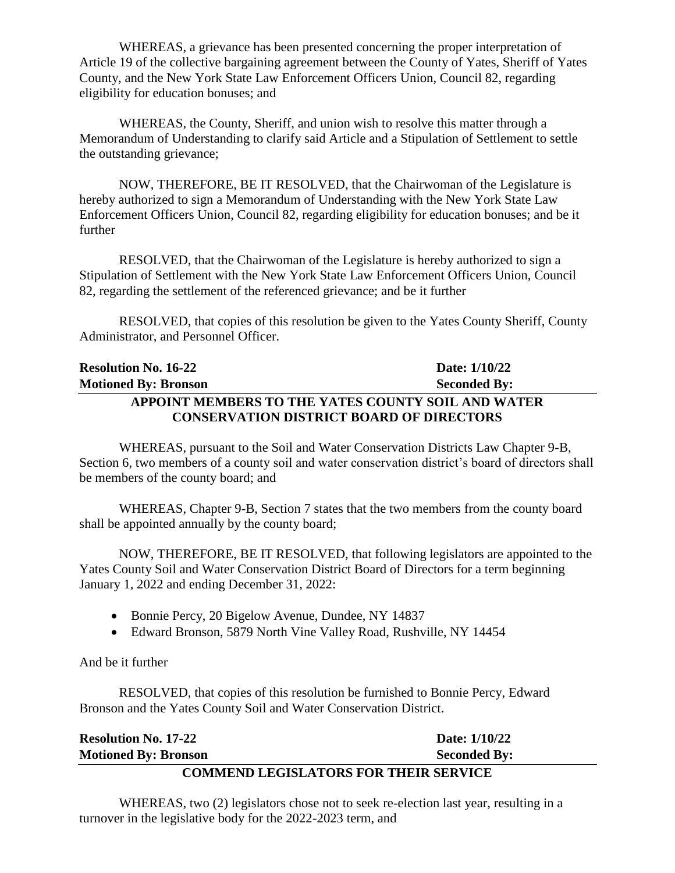WHEREAS, a grievance has been presented concerning the proper interpretation of Article 19 of the collective bargaining agreement between the County of Yates, Sheriff of Yates County, and the New York State Law Enforcement Officers Union, Council 82, regarding eligibility for education bonuses; and

WHEREAS, the County, Sheriff, and union wish to resolve this matter through a Memorandum of Understanding to clarify said Article and a Stipulation of Settlement to settle the outstanding grievance;

NOW, THEREFORE, BE IT RESOLVED, that the Chairwoman of the Legislature is hereby authorized to sign a Memorandum of Understanding with the New York State Law Enforcement Officers Union, Council 82, regarding eligibility for education bonuses; and be it further

RESOLVED, that the Chairwoman of the Legislature is hereby authorized to sign a Stipulation of Settlement with the New York State Law Enforcement Officers Union, Council 82, regarding the settlement of the referenced grievance; and be it further

RESOLVED, that copies of this resolution be given to the Yates County Sheriff, County Administrator, and Personnel Officer.

## **Resolution No. 16-22 Date: 1/10/22 Motioned By: Bronson Seconded By: APPOINT MEMBERS TO THE YATES COUNTY SOIL AND WATER CONSERVATION DISTRICT BOARD OF DIRECTORS**

WHEREAS, pursuant to the Soil and Water Conservation Districts Law Chapter 9-B, Section 6, two members of a county soil and water conservation district's board of directors shall be members of the county board; and

WHEREAS, Chapter 9-B, Section 7 states that the two members from the county board shall be appointed annually by the county board;

NOW, THEREFORE, BE IT RESOLVED, that following legislators are appointed to the Yates County Soil and Water Conservation District Board of Directors for a term beginning January 1, 2022 and ending December 31, 2022:

- Bonnie Percy, 20 Bigelow Avenue, Dundee, NY 14837
- Edward Bronson, 5879 North Vine Valley Road, Rushville, NY 14454

And be it further

RESOLVED, that copies of this resolution be furnished to Bonnie Percy, Edward Bronson and the Yates County Soil and Water Conservation District.

| <b>Resolution No. 17-22</b>                  | Date: 1/10/22       |  |
|----------------------------------------------|---------------------|--|
| <b>Motioned By: Bronson</b>                  | <b>Seconded By:</b> |  |
| <b>COMMEND LEGISLATORS FOR THEIR SERVICE</b> |                     |  |

WHEREAS, two (2) legislators chose not to seek re-election last year, resulting in a turnover in the legislative body for the 2022-2023 term, and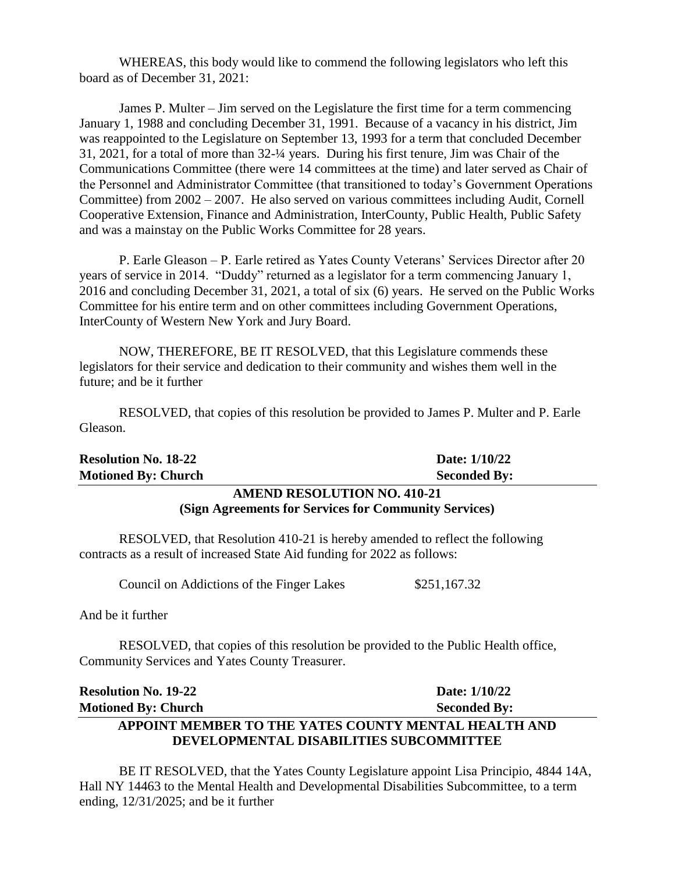WHEREAS, this body would like to commend the following legislators who left this board as of December 31, 2021:

James P. Multer – Jim served on the Legislature the first time for a term commencing January 1, 1988 and concluding December 31, 1991. Because of a vacancy in his district, Jim was reappointed to the Legislature on September 13, 1993 for a term that concluded December 31, 2021, for a total of more than 32-¼ years. During his first tenure, Jim was Chair of the Communications Committee (there were 14 committees at the time) and later served as Chair of the Personnel and Administrator Committee (that transitioned to today's Government Operations Committee) from 2002 – 2007. He also served on various committees including Audit, Cornell Cooperative Extension, Finance and Administration, InterCounty, Public Health, Public Safety and was a mainstay on the Public Works Committee for 28 years.

P. Earle Gleason – P. Earle retired as Yates County Veterans' Services Director after 20 years of service in 2014. "Duddy" returned as a legislator for a term commencing January 1, 2016 and concluding December 31, 2021, a total of six (6) years. He served on the Public Works Committee for his entire term and on other committees including Government Operations, InterCounty of Western New York and Jury Board.

NOW, THEREFORE, BE IT RESOLVED, that this Legislature commends these legislators for their service and dedication to their community and wishes them well in the future; and be it further

RESOLVED, that copies of this resolution be provided to James P. Multer and P. Earle Gleason.

| <b>Resolution No. 18-22</b>        | Date: 1/10/22       |  |
|------------------------------------|---------------------|--|
| <b>Motioned By: Church</b>         | <b>Seconded By:</b> |  |
| <b>AMEND RESOLUTION NO. 410-21</b> |                     |  |

# **(Sign Agreements for Services for Community Services)**

RESOLVED, that Resolution 410-21 is hereby amended to reflect the following contracts as a result of increased State Aid funding for 2022 as follows:

Council on Addictions of the Finger Lakes \$251,167.32

And be it further

RESOLVED, that copies of this resolution be provided to the Public Health office, Community Services and Yates County Treasurer.

#### **Resolution No. 19-22 Date: 1/10/22 Motioned By: Church Seconded By:** Seconded By: **APPOINT MEMBER TO THE YATES COUNTY MENTAL HEALTH AND DEVELOPMENTAL DISABILITIES SUBCOMMITTEE**

BE IT RESOLVED, that the Yates County Legislature appoint Lisa Principio, 4844 14A, Hall NY 14463 to the Mental Health and Developmental Disabilities Subcommittee, to a term ending, 12/31/2025; and be it further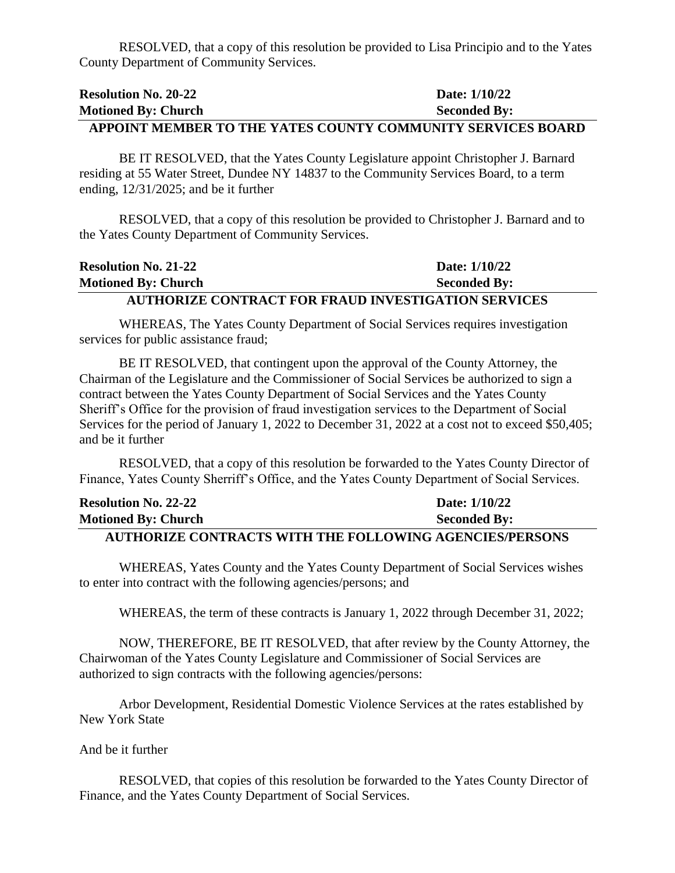RESOLVED, that a copy of this resolution be provided to Lisa Principio and to the Yates County Department of Community Services.

| <b>Resolution No. 20-22</b> | Date: 1/10/22                                               |
|-----------------------------|-------------------------------------------------------------|
| <b>Motioned By: Church</b>  | <b>Seconded By:</b>                                         |
|                             | A PPOINT MEMRER TO THE VATES COUNTY COMMUNITY SERVICES ROAR |

# **APPOINT MEMBER TO THE YATES COUNTY COMMUNITY SERVICES BOARD**

BE IT RESOLVED, that the Yates County Legislature appoint Christopher J. Barnard residing at 55 Water Street, Dundee NY 14837 to the Community Services Board, to a term ending, 12/31/2025; and be it further

RESOLVED, that a copy of this resolution be provided to Christopher J. Barnard and to the Yates County Department of Community Services.

| <b>Resolution No. 21-22</b> | Date: 1/10/22                                              |
|-----------------------------|------------------------------------------------------------|
| <b>Motioned By: Church</b>  | <b>Seconded By:</b>                                        |
|                             | <b>AUTHORIZE CONTRACT FOR FRAUD INVESTIGATION SERVICES</b> |

WHEREAS, The Yates County Department of Social Services requires investigation services for public assistance fraud;

BE IT RESOLVED, that contingent upon the approval of the County Attorney, the Chairman of the Legislature and the Commissioner of Social Services be authorized to sign a contract between the Yates County Department of Social Services and the Yates County Sheriff's Office for the provision of fraud investigation services to the Department of Social Services for the period of January 1, 2022 to December 31, 2022 at a cost not to exceed \$50,405; and be it further

RESOLVED, that a copy of this resolution be forwarded to the Yates County Director of Finance, Yates County Sherriff's Office, and the Yates County Department of Social Services.

| <b>Resolution No. 22-22</b>                                    | Date: 1/10/22       |
|----------------------------------------------------------------|---------------------|
| <b>Motioned By: Church</b>                                     | <b>Seconded By:</b> |
| <b>AUTHORIZE CONTRACTS WITH THE FOLLOWING AGENCIES/PERSONS</b> |                     |

WHEREAS, Yates County and the Yates County Department of Social Services wishes to enter into contract with the following agencies/persons; and

WHEREAS, the term of these contracts is January 1, 2022 through December 31, 2022;

NOW, THEREFORE, BE IT RESOLVED, that after review by the County Attorney, the Chairwoman of the Yates County Legislature and Commissioner of Social Services are authorized to sign contracts with the following agencies/persons:

Arbor Development, Residential Domestic Violence Services at the rates established by New York State

And be it further

RESOLVED, that copies of this resolution be forwarded to the Yates County Director of Finance, and the Yates County Department of Social Services.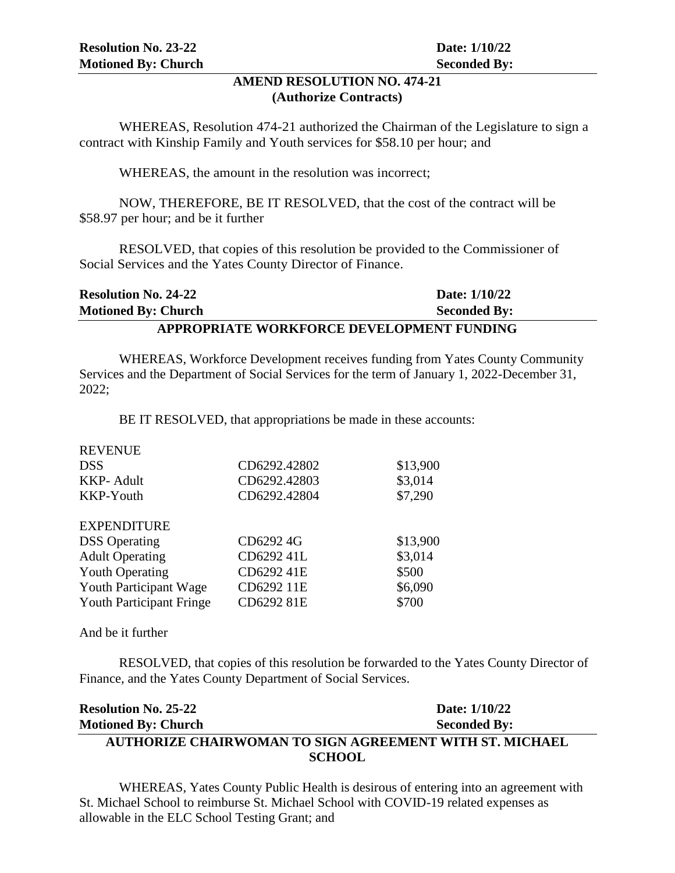#### **AMEND RESOLUTION NO. 474-21 (Authorize Contracts)**

WHEREAS, Resolution 474-21 authorized the Chairman of the Legislature to sign a contract with Kinship Family and Youth services for \$58.10 per hour; and

WHEREAS, the amount in the resolution was incorrect;

NOW, THEREFORE, BE IT RESOLVED, that the cost of the contract will be \$58.97 per hour; and be it further

RESOLVED, that copies of this resolution be provided to the Commissioner of Social Services and the Yates County Director of Finance.

| <b>Resolution No. 24-22</b>               | Date: 1/10/22       |  |
|-------------------------------------------|---------------------|--|
| <b>Motioned By: Church</b>                | <b>Seconded By:</b> |  |
| APPROPRIATE WORKFORCE DEVELOPMENT FUNDING |                     |  |

WHEREAS, Workforce Development receives funding from Yates County Community Services and the Department of Social Services for the term of January 1, 2022-December 31, 2022;

BE IT RESOLVED, that appropriations be made in these accounts:

| <b>REVENUE</b>                  |              |          |
|---------------------------------|--------------|----------|
| <b>DSS</b>                      | CD6292.42802 | \$13,900 |
| <b>KKP-Adult</b>                | CD6292.42803 | \$3,014  |
| KKP-Youth                       | CD6292.42804 | \$7,290  |
| <b>EXPENDITURE</b>              |              |          |
| <b>DSS</b> Operating            | CD6292 4G    | \$13,900 |
| <b>Adult Operating</b>          | CD6292 41L   | \$3,014  |
| <b>Youth Operating</b>          | CD6292 41E   | \$500    |
| Youth Participant Wage          | CD6292 11E   | \$6,090  |
| <b>Youth Participant Fringe</b> | CD6292 81E   | \$700    |

And be it further

RESOLVED, that copies of this resolution be forwarded to the Yates County Director of Finance, and the Yates County Department of Social Services.

| <b>Resolution No. 25-22</b>                             | Date: $1/10/22$     |  |
|---------------------------------------------------------|---------------------|--|
| <b>Motioned By: Church</b>                              | <b>Seconded By:</b> |  |
| AUTHORIZE CHAIRWOMAN TO SIGN AGREEMENT WITH ST. MICHAEL |                     |  |
| <b>SCHOOL</b>                                           |                     |  |

WHEREAS, Yates County Public Health is desirous of entering into an agreement with St. Michael School to reimburse St. Michael School with COVID-19 related expenses as allowable in the ELC School Testing Grant; and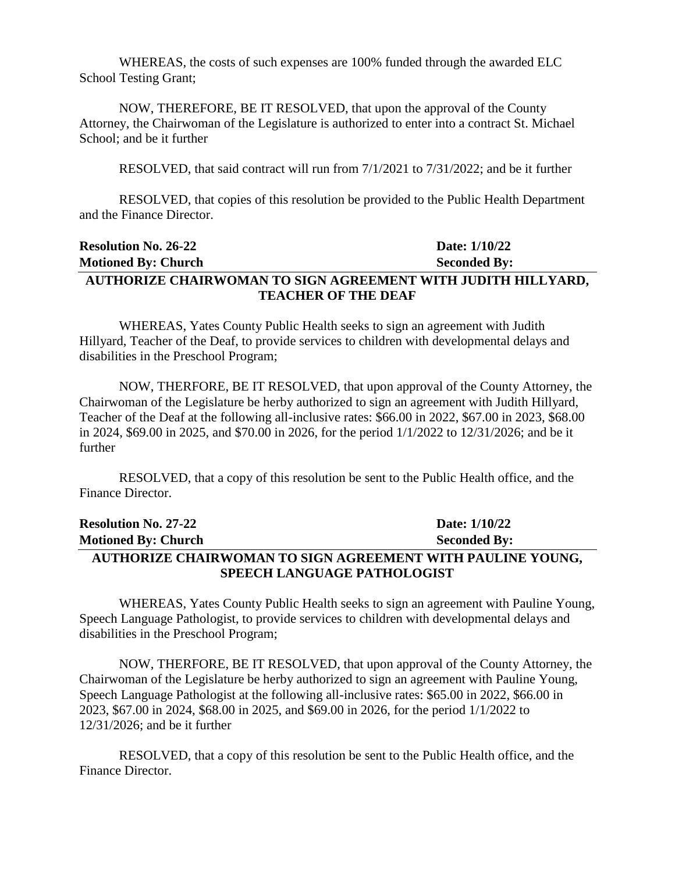WHEREAS, the costs of such expenses are 100% funded through the awarded ELC School Testing Grant;

NOW, THEREFORE, BE IT RESOLVED, that upon the approval of the County Attorney, the Chairwoman of the Legislature is authorized to enter into a contract St. Michael School; and be it further

RESOLVED, that said contract will run from 7/1/2021 to 7/31/2022; and be it further

RESOLVED, that copies of this resolution be provided to the Public Health Department and the Finance Director.

#### **Resolution No. 26-22 Date:** 1/10/22 **Motioned By: Church Seconded By:** Seconded By: **AUTHORIZE CHAIRWOMAN TO SIGN AGREEMENT WITH JUDITH HILLYARD, TEACHER OF THE DEAF**

WHEREAS, Yates County Public Health seeks to sign an agreement with Judith Hillyard, Teacher of the Deaf, to provide services to children with developmental delays and disabilities in the Preschool Program;

NOW, THERFORE, BE IT RESOLVED, that upon approval of the County Attorney, the Chairwoman of the Legislature be herby authorized to sign an agreement with Judith Hillyard, Teacher of the Deaf at the following all-inclusive rates: \$66.00 in 2022, \$67.00 in 2023, \$68.00 in 2024, \$69.00 in 2025, and \$70.00 in 2026, for the period 1/1/2022 to 12/31/2026; and be it further

RESOLVED, that a copy of this resolution be sent to the Public Health office, and the Finance Director.

| <b>Resolution No. 27-22</b> | Date: 1/10/22                                              |
|-----------------------------|------------------------------------------------------------|
| <b>Motioned By: Church</b>  | <b>Seconded By:</b>                                        |
|                             | AUTHORIZE CHAIRWOMAN TO SIGN AGREEMENT WITH PAULINE YOUNG, |
| SPEECH LANGUAGE PATHOLOGIST |                                                            |

WHEREAS, Yates County Public Health seeks to sign an agreement with Pauline Young, Speech Language Pathologist, to provide services to children with developmental delays and disabilities in the Preschool Program;

NOW, THERFORE, BE IT RESOLVED, that upon approval of the County Attorney, the Chairwoman of the Legislature be herby authorized to sign an agreement with Pauline Young, Speech Language Pathologist at the following all-inclusive rates: \$65.00 in 2022, \$66.00 in 2023, \$67.00 in 2024, \$68.00 in 2025, and \$69.00 in 2026, for the period 1/1/2022 to 12/31/2026; and be it further

RESOLVED, that a copy of this resolution be sent to the Public Health office, and the Finance Director.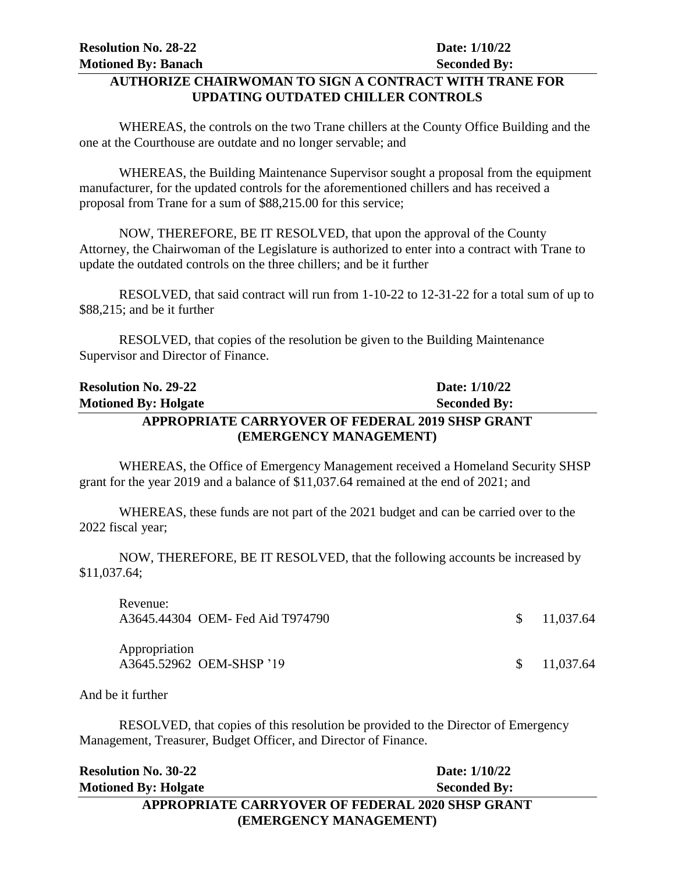#### **AUTHORIZE CHAIRWOMAN TO SIGN A CONTRACT WITH TRANE FOR UPDATING OUTDATED CHILLER CONTROLS**

WHEREAS, the controls on the two Trane chillers at the County Office Building and the one at the Courthouse are outdate and no longer servable; and

WHEREAS, the Building Maintenance Supervisor sought a proposal from the equipment manufacturer, for the updated controls for the aforementioned chillers and has received a proposal from Trane for a sum of \$88,215.00 for this service;

NOW, THEREFORE, BE IT RESOLVED, that upon the approval of the County Attorney, the Chairwoman of the Legislature is authorized to enter into a contract with Trane to update the outdated controls on the three chillers; and be it further

RESOLVED, that said contract will run from 1-10-22 to 12-31-22 for a total sum of up to \$88,215; and be it further

RESOLVED, that copies of the resolution be given to the Building Maintenance Supervisor and Director of Finance.

| <b>Resolution No. 29-22</b> | Date: $1/10/22$                                  |
|-----------------------------|--------------------------------------------------|
| <b>Motioned By: Holgate</b> | <b>Seconded By:</b>                              |
|                             | APPROPRIATE CARRYOVER OF FEDERAL 2019 SHSP GRANT |
|                             | (EMERGENCY MANAGEMENT)                           |

WHEREAS, the Office of Emergency Management received a Homeland Security SHSP grant for the year 2019 and a balance of \$11,037.64 remained at the end of 2021; and

WHEREAS, these funds are not part of the 2021 budget and can be carried over to the 2022 fiscal year;

NOW, THEREFORE, BE IT RESOLVED, that the following accounts be increased by \$11,037.64;

| Revenue:      | A3645.44304 OEM- Fed Aid T974790 | $\frac{\$}{11,037.64}$ |
|---------------|----------------------------------|------------------------|
| Appropriation | A3645.52962 OEM-SHSP '19         | $\frac{\$}{11.037.64}$ |

And be it further

RESOLVED, that copies of this resolution be provided to the Director of Emergency Management, Treasurer, Budget Officer, and Director of Finance.

| <b>Resolution No. 30-22</b>                      | Date: 1/10/22       |  |
|--------------------------------------------------|---------------------|--|
| <b>Motioned By: Holgate</b>                      | <b>Seconded By:</b> |  |
| APPROPRIATE CARRYOVER OF FEDERAL 2020 SHSP GRANT |                     |  |
| (EMERGENCY MANAGEMENT)                           |                     |  |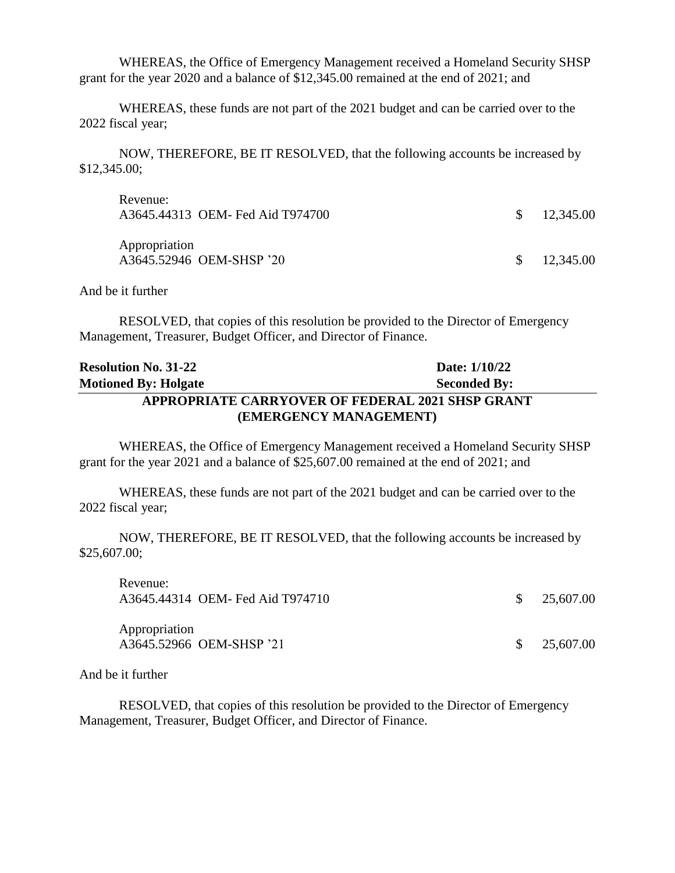WHEREAS, the Office of Emergency Management received a Homeland Security SHSP grant for the year 2020 and a balance of \$12,345.00 remained at the end of 2021; and

WHEREAS, these funds are not part of the 2021 budget and can be carried over to the 2022 fiscal year;

NOW, THEREFORE, BE IT RESOLVED, that the following accounts be increased by \$12,345.00;

| Revenue:<br>A3645.44313 OEM- Fed Aid T974700 | $\frac{\$}{12,345.00}$ |
|----------------------------------------------|------------------------|
| Appropriation<br>A3645.52946 OEM-SHSP '20    | $\frac{\$}{12,345.00}$ |

And be it further

RESOLVED, that copies of this resolution be provided to the Director of Emergency Management, Treasurer, Budget Officer, and Director of Finance.

#### **Resolution No. 31-22 Date:** 1/10/22 **Motioned By: Holgate Seconded By: Seconded By: APPROPRIATE CARRYOVER OF FEDERAL 2021 SHSP GRANT (EMERGENCY MANAGEMENT)**

WHEREAS, the Office of Emergency Management received a Homeland Security SHSP grant for the year 2021 and a balance of \$25,607.00 remained at the end of 2021; and

WHEREAS, these funds are not part of the 2021 budget and can be carried over to the 2022 fiscal year;

NOW, THEREFORE, BE IT RESOLVED, that the following accounts be increased by \$25,607.00;

| NUVULIUU.<br>A3645.44314 OEM- Fed Aid T974710 | $\frac{\$}{25,607.00}$ |
|-----------------------------------------------|------------------------|
| Appropriation<br>A3645.52966 OEM-SHSP '21     | $\frac{\$}{25,607.00}$ |

And be it further

Revenue:

RESOLVED, that copies of this resolution be provided to the Director of Emergency Management, Treasurer, Budget Officer, and Director of Finance.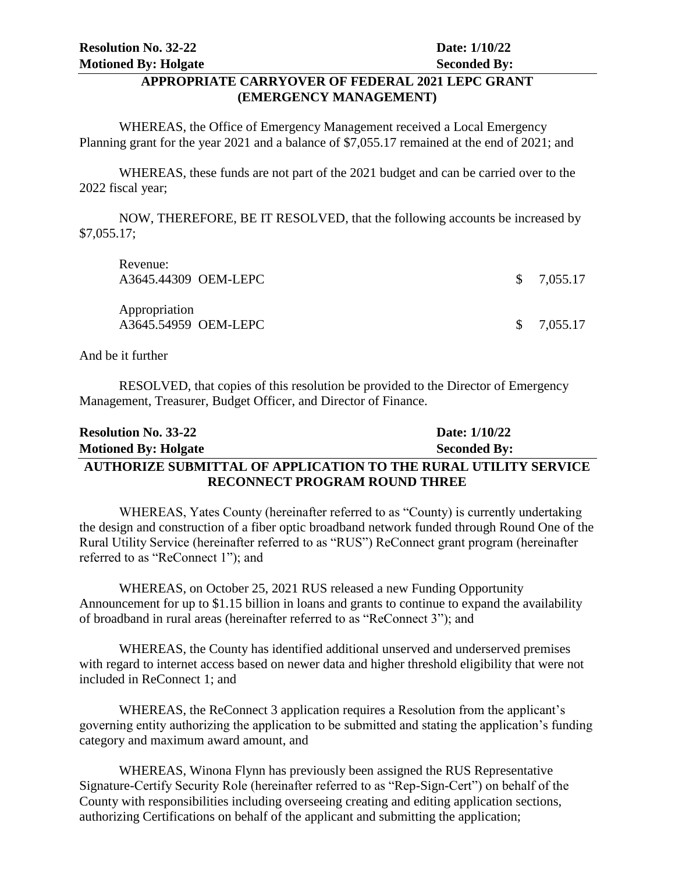#### **APPROPRIATE CARRYOVER OF FEDERAL 2021 LEPC GRANT (EMERGENCY MANAGEMENT)**

WHEREAS, the Office of Emergency Management received a Local Emergency Planning grant for the year 2021 and a balance of \$7,055.17 remained at the end of 2021; and

WHEREAS, these funds are not part of the 2021 budget and can be carried over to the 2022 fiscal year;

NOW, THEREFORE, BE IT RESOLVED, that the following accounts be increased by \$7,055.17;

| Revenue:<br>A3645.44309 OEM-LEPC      | \$7,055.17 |
|---------------------------------------|------------|
| Appropriation<br>A3645.54959 OEM-LEPC | \$7,055.17 |

And be it further

RESOLVED, that copies of this resolution be provided to the Director of Emergency Management, Treasurer, Budget Officer, and Director of Finance.

| <b>Resolution No. 33-22</b> | Date: 1/10/22                                                          |
|-----------------------------|------------------------------------------------------------------------|
| <b>Motioned By: Holgate</b> | <b>Seconded By:</b>                                                    |
|                             | <b>AUTHORIZE SUBMITTAL OF APPLICATION TO THE RURAL UTILITY SERVICE</b> |
|                             | <b>RECONNECT PROGRAM ROUND THREE</b>                                   |

WHEREAS, Yates County (hereinafter referred to as "County) is currently undertaking the design and construction of a fiber optic broadband network funded through Round One of the Rural Utility Service (hereinafter referred to as "RUS") ReConnect grant program (hereinafter referred to as "ReConnect 1"); and

WHEREAS, on October 25, 2021 RUS released a new Funding Opportunity Announcement for up to \$1.15 billion in loans and grants to continue to expand the availability of broadband in rural areas (hereinafter referred to as "ReConnect 3"); and

WHEREAS, the County has identified additional unserved and underserved premises with regard to internet access based on newer data and higher threshold eligibility that were not included in ReConnect 1; and

WHEREAS, the ReConnect 3 application requires a Resolution from the applicant's governing entity authorizing the application to be submitted and stating the application's funding category and maximum award amount, and

WHEREAS, Winona Flynn has previously been assigned the RUS Representative Signature-Certify Security Role (hereinafter referred to as "Rep-Sign-Cert") on behalf of the County with responsibilities including overseeing creating and editing application sections, authorizing Certifications on behalf of the applicant and submitting the application;